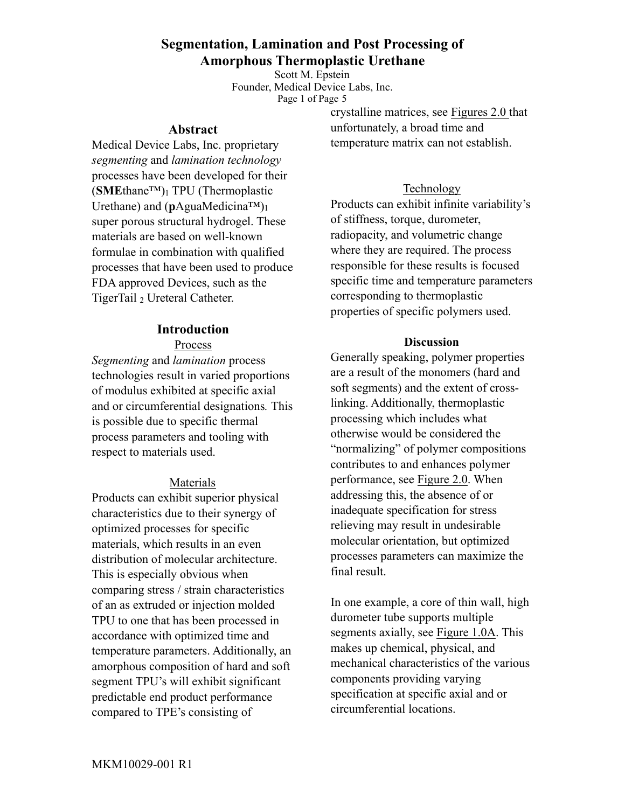# **Segmentation, Lamination and Post Processing of Amorphous Thermoplastic Urethane**

Scott M. Epstein Founder, Medical Device Labs, Inc. Page 1 of Page 5

#### **Abstract**

Medical Device Labs, Inc. proprietary *segmenting* and *lamination technology* processes have been developed for their (**SME**thane™)1 TPU (Thermoplastic Urethane) and (**p**AguaMedicina™)<sub>1</sub> super porous structural hydrogel. These materials are based on well-known formulae in combination with qualified processes that have been used to produce FDA approved Devices, such as the TigerTail 2 Ureteral Catheter.

## **Introduction**

## Process

*Segmenting* and *lamination* process technologies result in varied proportions of modulus exhibited at specific axial and or circumferential designations*.* This is possible due to specific thermal process parameters and tooling with respect to materials used.

#### Materials

Products can exhibit superior physical characteristics due to their synergy of optimized processes for specific materials, which results in an even distribution of molecular architecture. This is especially obvious when comparing stress / strain characteristics of an as extruded or injection molded TPU to one that has been processed in accordance with optimized time and temperature parameters. Additionally, an amorphous composition of hard and soft segment TPU's will exhibit significant predictable end product performance compared to TPE's consisting of

crystalline matrices, see Figures 2.0 that unfortunately, a broad time and temperature matrix can not establish.

#### Technology

Products can exhibit infinite variability's of stiffness, torque, durometer, radiopacity, and volumetric change where they are required. The process responsible for these results is focused specific time and temperature parameters corresponding to thermoplastic properties of specific polymers used.

#### **Discussion**

Generally speaking, polymer properties are a result of the monomers (hard and soft segments) and the extent of crosslinking. Additionally, thermoplastic processing which includes what otherwise would be considered the "normalizing" of polymer compositions contributes to and enhances polymer performance, see Figure 2.0. When addressing this, the absence of or inadequate specification for stress relieving may result in undesirable molecular orientation, but optimized processes parameters can maximize the final result.

In one example, a core of thin wall, high durometer tube supports multiple segments axially, see Figure 1.0A. This makes up chemical, physical, and mechanical characteristics of the various components providing varying specification at specific axial and or circumferential locations.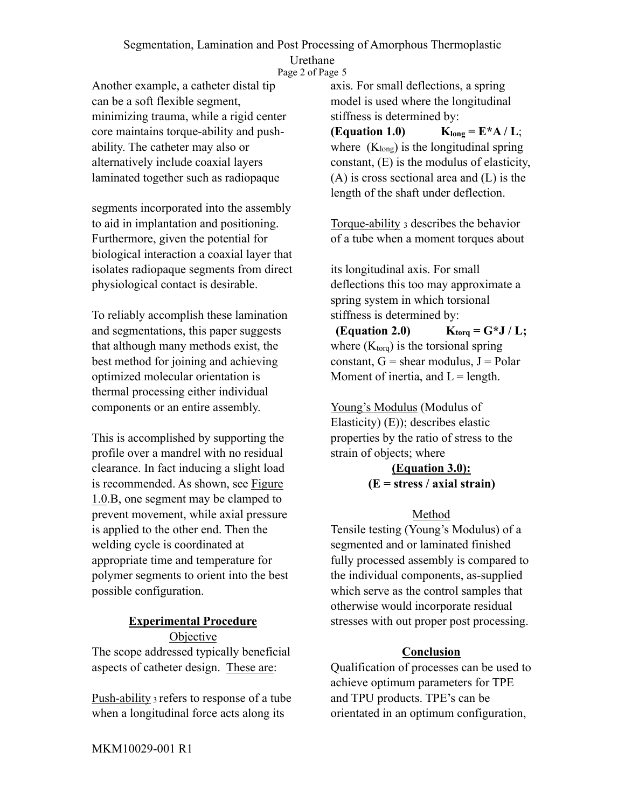Segmentation, Lamination and Post Processing of Amorphous Thermoplastic Urethane

Page 2 of Page 5

Another example, a catheter distal tip can be a soft flexible segment, minimizing trauma, while a rigid center core maintains torque-ability and pushability. The catheter may also or alternatively include coaxial layers laminated together such as radiopaque

segments incorporated into the assembly to aid in implantation and positioning. Furthermore, given the potential for biological interaction a coaxial layer that isolates radiopaque segments from direct physiological contact is desirable.

To reliably accomplish these lamination and segmentations, this paper suggests that although many methods exist, the best method for joining and achieving optimized molecular orientation is thermal processing either individual components or an entire assembly.

This is accomplished by supporting the profile over a mandrel with no residual clearance. In fact inducing a slight load is recommended. As shown, see Figure 1.0.B, one segment may be clamped to prevent movement, while axial pressure is applied to the other end. Then the welding cycle is coordinated at appropriate time and temperature for polymer segments to orient into the best possible configuration.

## **Experimental Procedure**

**Objective** The scope addressed typically beneficial aspects of catheter design. These are:

Push-ability 3 refers to response of a tube when a longitudinal force acts along its

MKM10029-001 R1

axis. For small deflections, a spring model is used where the longitudinal stiffness is determined by:

**(Equation 1.0)**  $\mathbf{K}_{\text{long}} = \mathbf{E} \cdot \mathbf{A} / \mathbf{L}$ ; where  $(K_{long})$  is the longitudinal spring constant, (E) is the modulus of elasticity, (A) is cross sectional area and (L) is the length of the shaft under deflection.

Torque-ability 3 describes the behavior of a tube when a moment torques about

its longitudinal axis. For small deflections this too may approximate a spring system in which torsional stiffness is determined by:

**(Equation 2.0)**  $K_{\text{torq}} = G \cdot J / L;$ where  $(K_{\text{torq}})$  is the torsional spring constant,  $G =$  shear modulus,  $J =$  Polar Moment of inertia, and  $L =$  length.

Young's Modulus (Modulus of Elasticity) (E)); describes elastic properties by the ratio of stress to the strain of objects; where

> **(Equation 3.0): (E = stress / axial strain)**

## Method

Tensile testing (Young's Modulus) of a segmented and or laminated finished fully processed assembly is compared to the individual components, as-supplied which serve as the control samples that otherwise would incorporate residual stresses with out proper post processing.

## **Conclusion**

Qualification of processes can be used to achieve optimum parameters for TPE and TPU products. TPE's can be orientated in an optimum configuration,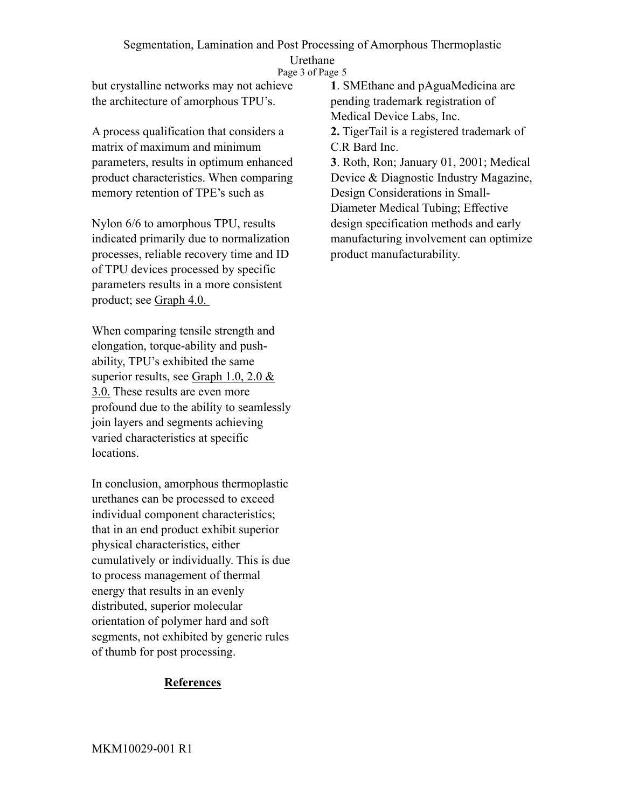Segmentation, Lamination and Post Processing of Amorphous Thermoplastic

#### Urethane Page 3 of Page 5

but crystalline networks may not achieve the architecture of amorphous TPU's.

A process qualification that considers a matrix of maximum and minimum parameters, results in optimum enhanced product characteristics. When comparing memory retention of TPE's such as

Nylon 6/6 to amorphous TPU, results indicated primarily due to normalization processes, reliable recovery time and ID of TPU devices processed by specific parameters results in a more consistent product; see Graph 4.0.

When comparing tensile strength and elongation, torque-ability and pushability, TPU's exhibited the same superior results, see Graph 1.0, 2.0 & 3.0. These results are even more profound due to the ability to seamlessly join layers and segments achieving varied characteristics at specific locations.

In conclusion, amorphous thermoplastic urethanes can be processed to exceed individual component characteristics; that in an end product exhibit superior physical characteristics, either cumulatively or individually. This is due to process management of thermal energy that results in an evenly distributed, superior molecular orientation of polymer hard and soft segments, not exhibited by generic rules of thumb for post processing.

## **References**

**1**. SMEthane and pAguaMedicina are pending trademark registration of Medical Device Labs, Inc. **2.** TigerTail is a registered trademark of

C.R Bard Inc.

**3**. Roth, Ron; January 01, 2001; Medical Device & Diagnostic Industry Magazine, Design Considerations in Small-Diameter Medical Tubing; Effective design specification methods and early

manufacturing involvement can optimize product manufacturability.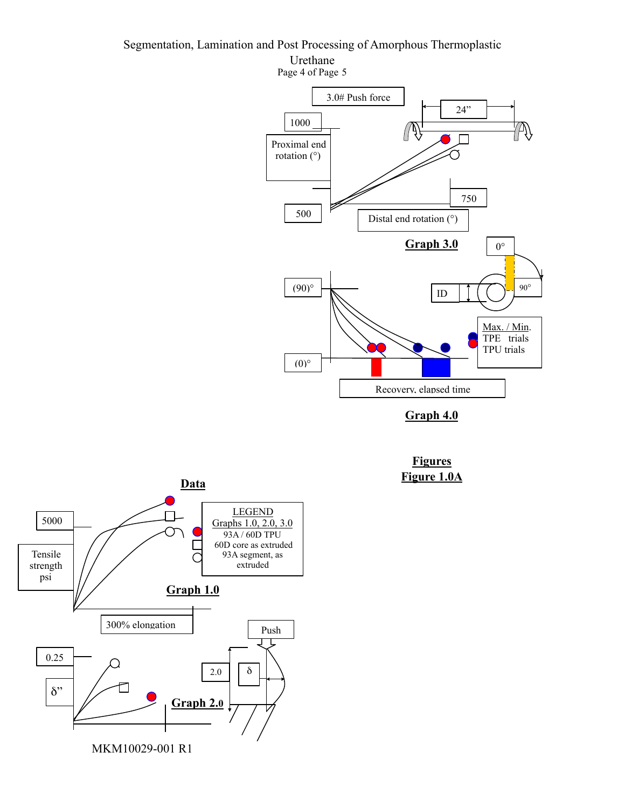## Segmentation, Lamination and Post Processing of Amorphous Thermoplastic Urethane Page 4 of Page 5



**Graph 4.0** 

**Figures Figure 1.0A**